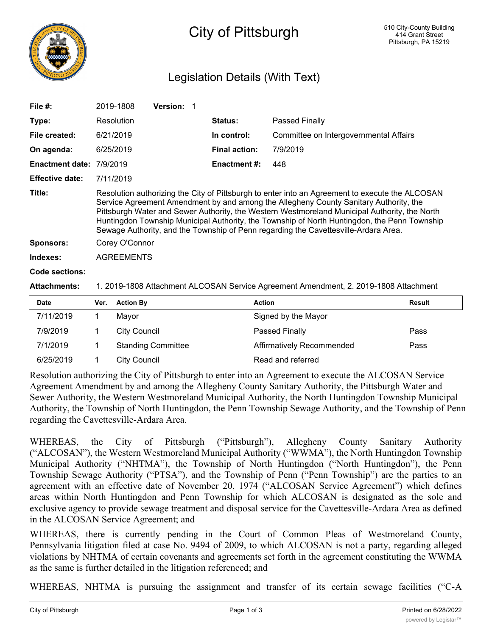

# City of Pittsburgh

## Legislation Details (With Text)

| File #:                | 2019-1808                                                                                                                                                                                                                                                                                                                                                                                                                                                                        |                  | <b>Version: 1</b> |  |                      |                                        |               |  |  |
|------------------------|----------------------------------------------------------------------------------------------------------------------------------------------------------------------------------------------------------------------------------------------------------------------------------------------------------------------------------------------------------------------------------------------------------------------------------------------------------------------------------|------------------|-------------------|--|----------------------|----------------------------------------|---------------|--|--|
|                        |                                                                                                                                                                                                                                                                                                                                                                                                                                                                                  |                  |                   |  |                      |                                        |               |  |  |
| Type:                  | Resolution                                                                                                                                                                                                                                                                                                                                                                                                                                                                       |                  |                   |  | <b>Status:</b>       | Passed Finally                         |               |  |  |
| File created:          | 6/21/2019                                                                                                                                                                                                                                                                                                                                                                                                                                                                        |                  |                   |  | In control:          | Committee on Intergovernmental Affairs |               |  |  |
| On agenda:             | 6/25/2019                                                                                                                                                                                                                                                                                                                                                                                                                                                                        |                  |                   |  | <b>Final action:</b> | 7/9/2019                               |               |  |  |
| <b>Enactment date:</b> | 7/9/2019                                                                                                                                                                                                                                                                                                                                                                                                                                                                         |                  |                   |  | <b>Enactment #:</b>  | 448                                    |               |  |  |
| <b>Effective date:</b> | 7/11/2019                                                                                                                                                                                                                                                                                                                                                                                                                                                                        |                  |                   |  |                      |                                        |               |  |  |
| Title:                 | Resolution authorizing the City of Pittsburgh to enter into an Agreement to execute the ALCOSAN<br>Service Agreement Amendment by and among the Allegheny County Sanitary Authority, the<br>Pittsburgh Water and Sewer Authority, the Western Westmoreland Municipal Authority, the North<br>Huntingdon Township Municipal Authority, the Township of North Huntingdon, the Penn Township<br>Sewage Authority, and the Township of Penn regarding the Cavettesville-Ardara Area. |                  |                   |  |                      |                                        |               |  |  |
| <b>Sponsors:</b>       | Corey O'Connor                                                                                                                                                                                                                                                                                                                                                                                                                                                                   |                  |                   |  |                      |                                        |               |  |  |
| Indexes:               | <b>AGREEMENTS</b>                                                                                                                                                                                                                                                                                                                                                                                                                                                                |                  |                   |  |                      |                                        |               |  |  |
| <b>Code sections:</b>  |                                                                                                                                                                                                                                                                                                                                                                                                                                                                                  |                  |                   |  |                      |                                        |               |  |  |
| <b>Attachments:</b>    | 1. 2019-1808 Attachment ALCOSAN Service Agreement Amendment, 2. 2019-1808 Attachment                                                                                                                                                                                                                                                                                                                                                                                             |                  |                   |  |                      |                                        |               |  |  |
| Date                   | Ver.                                                                                                                                                                                                                                                                                                                                                                                                                                                                             | <b>Action By</b> |                   |  | <b>Action</b>        |                                        | <b>Result</b> |  |  |
| 7/11/2010              | 1.                                                                                                                                                                                                                                                                                                                                                                                                                                                                               | Maxor            |                   |  |                      | Sianad by the Mayor                    |               |  |  |

| Date      | ver. Action by            | ACtion                    | <b>Result</b> |
|-----------|---------------------------|---------------------------|---------------|
| 7/11/2019 | Mavor                     | Signed by the Mayor       |               |
| 7/9/2019  | City Council              | Passed Finally            | Pass          |
| 7/1/2019  | <b>Standing Committee</b> | Affirmatively Recommended | Pass          |
| 6/25/2019 | City Council              | Read and referred         |               |

Resolution authorizing the City of Pittsburgh to enter into an Agreement to execute the ALCOSAN Service Agreement Amendment by and among the Allegheny County Sanitary Authority, the Pittsburgh Water and Sewer Authority, the Western Westmoreland Municipal Authority, the North Huntingdon Township Municipal Authority, the Township of North Huntingdon, the Penn Township Sewage Authority, and the Township of Penn regarding the Cavettesville-Ardara Area.

WHEREAS, the City of Pittsburgh ("Pittsburgh"), Allegheny County Sanitary Authority ("ALCOSAN"), the Western Westmoreland Municipal Authority ("WWMA"), the North Huntingdon Township Municipal Authority ("NHTMA"), the Township of North Huntingdon ("North Huntingdon"), the Penn Township Sewage Authority ("PTSA"), and the Township of Penn ("Penn Township") are the parties to an agreement with an effective date of November 20, 1974 ("ALCOSAN Service Agreement") which defines areas within North Huntingdon and Penn Township for which ALCOSAN is designated as the sole and exclusive agency to provide sewage treatment and disposal service for the Cavettesville-Ardara Area as defined in the ALCOSAN Service Agreement; and

WHEREAS, there is currently pending in the Court of Common Pleas of Westmoreland County, Pennsylvania litigation filed at case No. 9494 of 2009, to which ALCOSAN is not a party, regarding alleged violations by NHTMA of certain covenants and agreements set forth in the agreement constituting the WWMA as the same is further detailed in the litigation referenced; and

WHEREAS, NHTMA is pursuing the assignment and transfer of its certain sewage facilities ("C-A  $\mathcal{F}_{\mathcal{A}}$  in North Huntingdon Township as currently owned and operators  $\mathcal{F}_{\mathcal{A}}$  for the  $\mathcal{F}_{\mathcal{A}}$ 

┑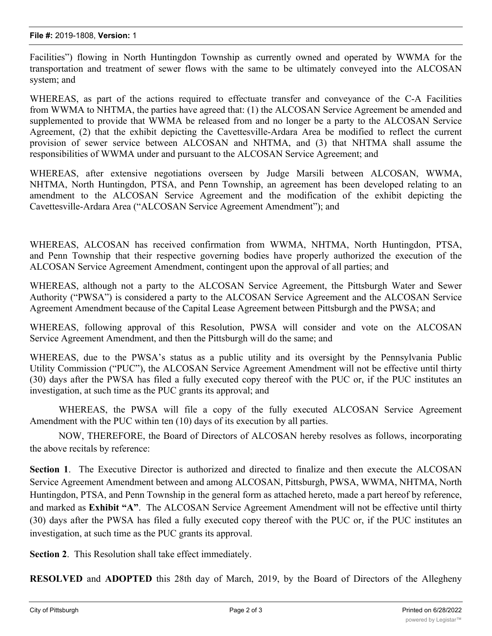Facilities") flowing in North Huntingdon Township as currently owned and operated by WWMA for the transportation and treatment of sewer flows with the same to be ultimately conveyed into the ALCOSAN system; and

WHEREAS, as part of the actions required to effectuate transfer and conveyance of the C-A Facilities from WWMA to NHTMA, the parties have agreed that: (1) the ALCOSAN Service Agreement be amended and supplemented to provide that WWMA be released from and no longer be a party to the ALCOSAN Service Agreement, (2) that the exhibit depicting the Cavettesville-Ardara Area be modified to reflect the current provision of sewer service between ALCOSAN and NHTMA, and (3) that NHTMA shall assume the responsibilities of WWMA under and pursuant to the ALCOSAN Service Agreement; and

WHEREAS, after extensive negotiations overseen by Judge Marsili between ALCOSAN, WWMA, NHTMA, North Huntingdon, PTSA, and Penn Township, an agreement has been developed relating to an amendment to the ALCOSAN Service Agreement and the modification of the exhibit depicting the Cavettesville-Ardara Area ("ALCOSAN Service Agreement Amendment"); and

WHEREAS, ALCOSAN has received confirmation from WWMA, NHTMA, North Huntingdon, PTSA, and Penn Township that their respective governing bodies have properly authorized the execution of the ALCOSAN Service Agreement Amendment, contingent upon the approval of all parties; and

WHEREAS, although not a party to the ALCOSAN Service Agreement, the Pittsburgh Water and Sewer Authority ("PWSA") is considered a party to the ALCOSAN Service Agreement and the ALCOSAN Service Agreement Amendment because of the Capital Lease Agreement between Pittsburgh and the PWSA; and

WHEREAS, following approval of this Resolution, PWSA will consider and vote on the ALCOSAN Service Agreement Amendment, and then the Pittsburgh will do the same; and

WHEREAS, due to the PWSA's status as a public utility and its oversight by the Pennsylvania Public Utility Commission ("PUC"), the ALCOSAN Service Agreement Amendment will not be effective until thirty (30) days after the PWSA has filed a fully executed copy thereof with the PUC or, if the PUC institutes an investigation, at such time as the PUC grants its approval; and

WHEREAS, the PWSA will file a copy of the fully executed ALCOSAN Service Agreement Amendment with the PUC within ten (10) days of its execution by all parties.

NOW, THEREFORE, the Board of Directors of ALCOSAN hereby resolves as follows, incorporating the above recitals by reference:

**Section 1**. The Executive Director is authorized and directed to finalize and then execute the ALCOSAN Service Agreement Amendment between and among ALCOSAN, Pittsburgh, PWSA, WWMA, NHTMA, North Huntingdon, PTSA, and Penn Township in the general form as attached hereto, made a part hereof by reference, and marked as **Exhibit "A"**. The ALCOSAN Service Agreement Amendment will not be effective until thirty (30) days after the PWSA has filed a fully executed copy thereof with the PUC or, if the PUC institutes an investigation, at such time as the PUC grants its approval.

**Section 2**. This Resolution shall take effect immediately.

**RESOLVED** and **ADOPTED** this 28th day of March, 2019, by the Board of Directors of the Allegheny